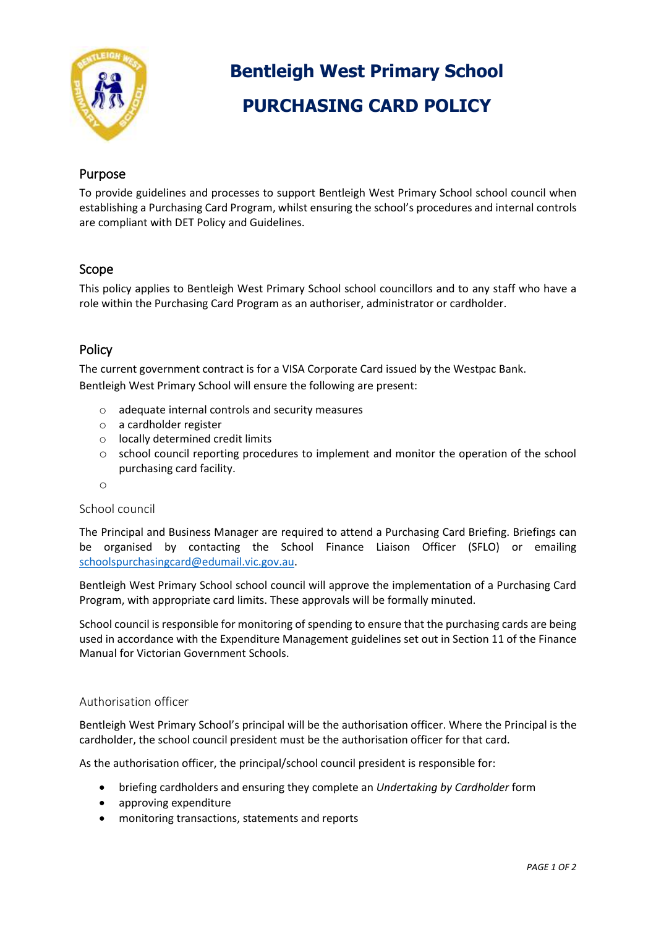

# **Bentleigh West Primary School PURCHASING CARD POLICY**

# Purpose

To provide guidelines and processes to support Bentleigh West Primary School school council when establishing a Purchasing Card Program, whilst ensuring the school's procedures and internal controls are compliant with DET Policy and Guidelines.

## Scope

This policy applies to Bentleigh West Primary School school councillors and to any staff who have a role within the Purchasing Card Program as an authoriser, administrator or cardholder.

# Policy

The current government contract is for a VISA Corporate Card issued by the Westpac Bank. Bentleigh West Primary School will ensure the following are present:

- o adequate internal controls and security measures
- o a cardholder register
- o locally determined credit limits
- o school council reporting procedures to implement and monitor the operation of the school purchasing card facility.
- o

#### School council

The Principal and Business Manager are required to attend a Purchasing Card Briefing. Briefings can be organised by contacting the School Finance Liaison Officer (SFLO) or emailing [schoolspurchasingcard@edumail.vic.gov.au.](mailto:schoolspurchasingcard@edumail.vic.gov.au)

Bentleigh West Primary School school council will approve the implementation of a Purchasing Card Program, with appropriate card limits. These approvals will be formally minuted.

School council is responsible for monitoring of spending to ensure that the purchasing cards are being used in accordance with the Expenditure Management guidelines set out in Section 11 of the Finance Manual for Victorian Government Schools.

#### Authorisation officer

Bentleigh West Primary School's principal will be the authorisation officer. Where the Principal is the cardholder, the school council president must be the authorisation officer for that card.

As the authorisation officer, the principal/school council president is responsible for:

- briefing cardholders and ensuring they complete an *Undertaking by Cardholder* form
- approving expenditure
- monitoring transactions, statements and reports